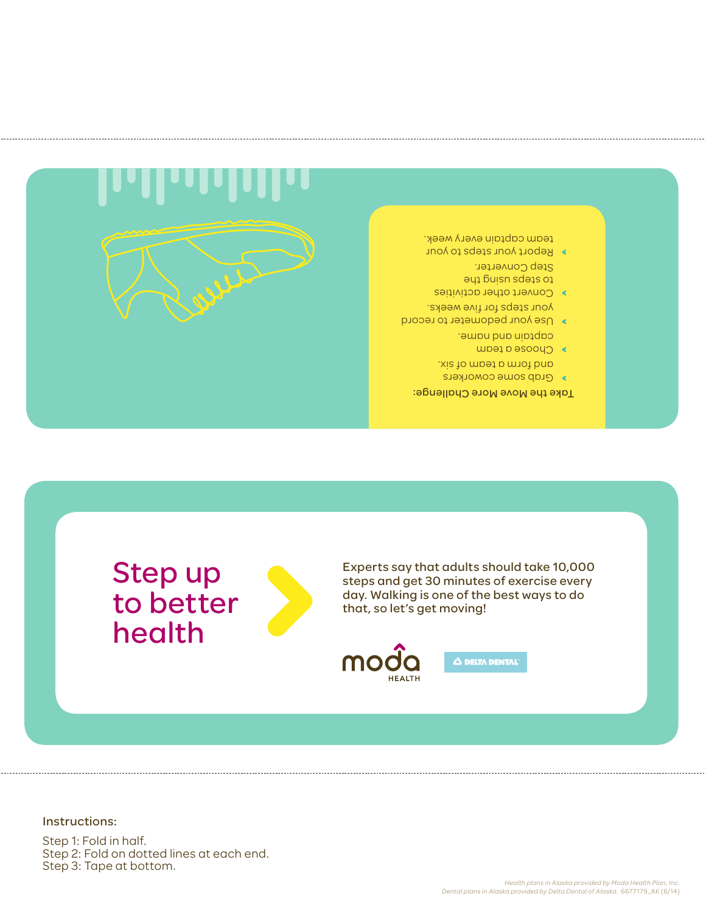## Step 1: Fold in half. Step 2: Fold on dotted lines at each end. Step 3: Tape at bottom.

Instructions: